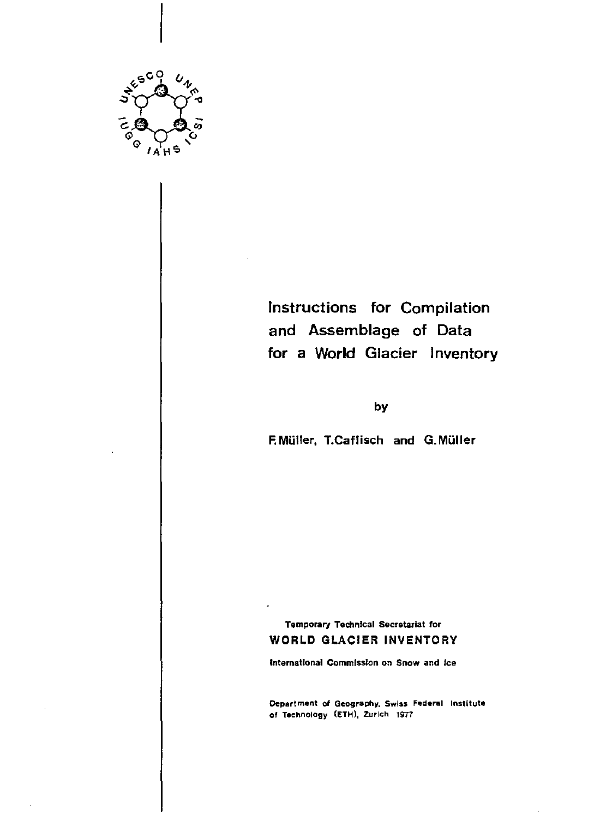

Instructions for Compilation and Assemblage of Data for a World Glacier Inventory

by

F. MUlier, T.Caflisch and G. MUlier

**Temporary Technical Secretariat for**  WORLD GLACIER INVENTORY

**International Commission on Snow and Ice** 

**Department of Geography, Swiss Federal Institute**  of Technology (ETH), Zurich 1977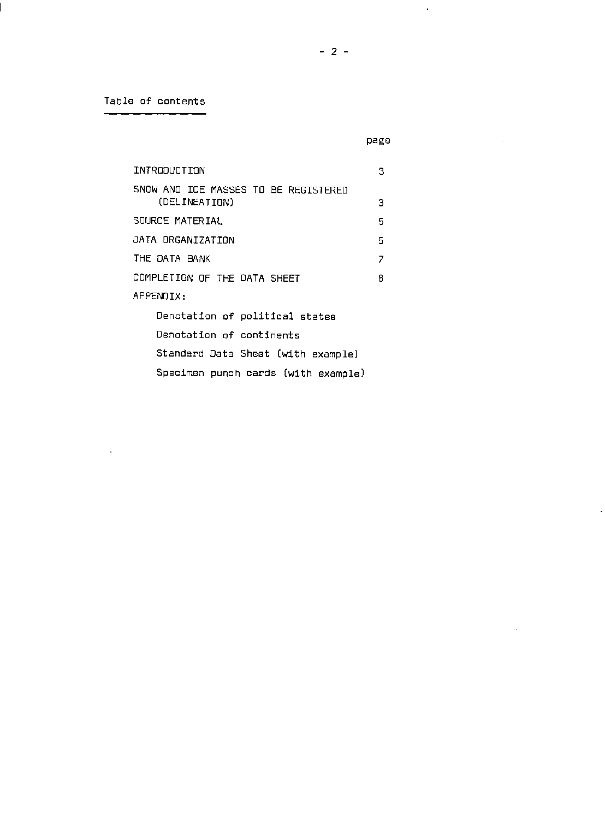**Table of contents** 

 $\mathcal{L}^{\text{max}}_{\text{max}}$ 

 $\mathcal{A}^{\mathcal{A}}$ 

 $\label{eq:2.1} \frac{1}{\sqrt{2}}\int_{\mathbb{R}^3}\frac{1}{\sqrt{2}}\left(\frac{1}{\sqrt{2}}\right)^2\frac{1}{\sqrt{2}}\left(\frac{1}{\sqrt{2}}\right)^2\frac{1}{\sqrt{2}}\left(\frac{1}{\sqrt{2}}\right)^2.$ 

 $\mathcal{L}^{\text{max}}_{\text{max}}$ 

| INTRODUCTION                         | з |  |  |  |
|--------------------------------------|---|--|--|--|
| SNOW AND ICE MASSES TO BE REGISTERED |   |  |  |  |
| (DELINEATION)                        | з |  |  |  |
| SOURCE MATERIAL                      | 5 |  |  |  |
| DATA ORGANIZATION<br>5               |   |  |  |  |
| THE DATA BANK<br>7                   |   |  |  |  |
| COMPLETION OF THE DATA SHEET<br>8    |   |  |  |  |
| APPENDIX:                            |   |  |  |  |
| Denotation of political states       |   |  |  |  |
| Denotation of continents             |   |  |  |  |
| Standard Data Sheet (with example)   |   |  |  |  |
| Specimen punch cards (with example)  |   |  |  |  |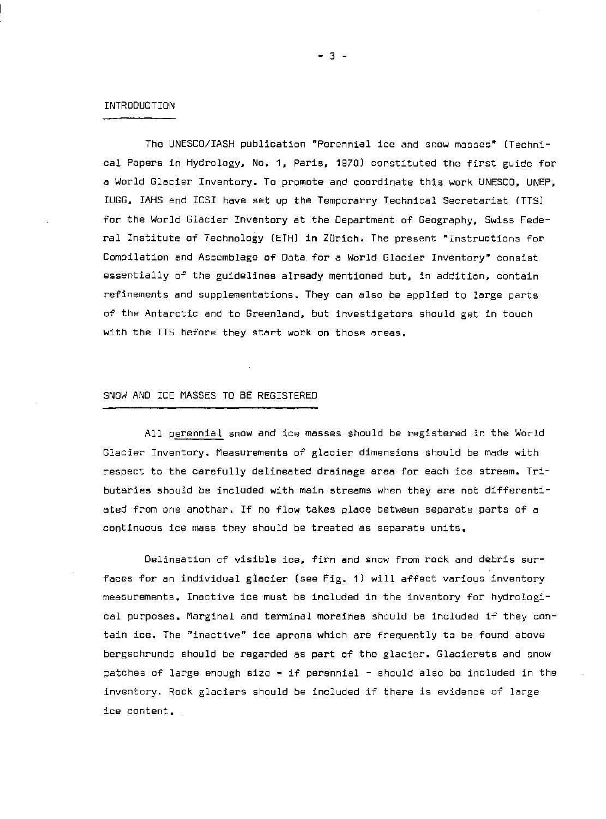#### INTRODUCTION

The UNESCO/lASH pUblication "Perennial ice and snow masses" (Technical Papers in Hydrology, No. 1, Paris, 1970) constituted the first guide for a World Glacier Inventory. To promote and coordinate this work UNESCO. UNEP. IUGG, IAHS and ICSI have set up the Temporarry Technical Secretariat (TTS) for the World Glacier Inventory at the Department of Geography. Swiss Federal Institute of Technology (ETHJ in Zurich. The present "Instructions for Compilation and Assemblage of Data for a World Glacier Inventory" consist essentially af the guidelines already mentioned but. in addition, contain refinements and supplementations. They can also be applied to large parts of the Antarctic and to Greenland, but investigators should get in touch with the TTS before they start work on those areas.

## SNOW AND ICE MASSES TO BE REGISTERED

All perennial snow and ice masses should be registered in the World Glacier Inventory. Measurements of glacier dimensions should be made with respect to the carefully delineated drainage area for each ice stream. Tributaries should be included with main streams when they are not differentiated from one another. If no flow takes place between separate parts of a continuous ice mass they should be treated as separate units.

Delineation of visible ice, firn and snow from rock and debris surfaces for an individual glacier (see Fig. 1) will affect various inventory measurements. Inactive ice must be included in the inventory for hydrological purposes. Marginal and terminal moraines should be included if they contain ice. The "inactive" ice aprons which are frequently to be found above bergschrunds should be regarded as part of the glacier. Glacierets and snow patches of large enough size - if perennial - should also be included in the inventory. Rock glaciers should be included if there is evidence of large ice content.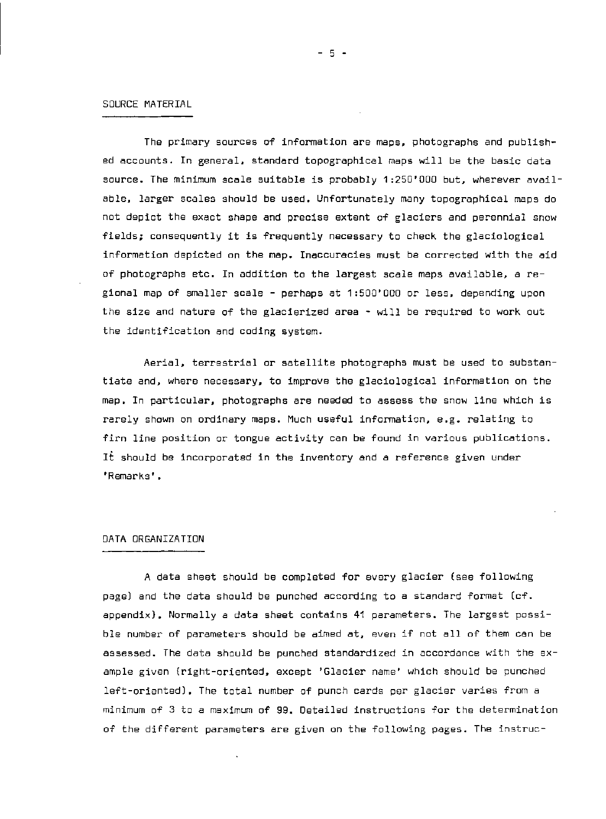#### SOURCE MATERIAL

The primary sources of information are maps. photographs and published accounts. In general. standard topographical maps will be the basic data source. The minimum scale suitable is probably 1:250'000 but. wherever available. larger scales should be used. Unfortunately many topographical maps do not depict the exact shape and precise extent of glaciers and perennial snow fields; consequently it is frequently necessary to check the glaciological information depicted on the map. Inaccuracies must be corrected with the aid of photographs etc. In addition to the largest scale maps available, a regional map of smaller scale - perhaps at 1:500'000 or less. depending upon the size and nature of the glacierized area - will be required to work out the identification and coding system.

Aerial, terrestrial or satellite photographs must be used to substantiate and, where necessary, to improve the glaciological information on the map. In particular, photographs are needed to assess the snow line which is rarely shown on ordinary maps. Much useful information. e.g. relating to firn line position or tongue activity can be found in various publications. It should be incorporated in the inventory and a reference given under 'Remarks'.

#### DATA ORGANIZATION

A data sheet should be completed for every glacier (see following page) and the data should be punched according to a standard format (cf. appendix). Normally a data sheet contains 41 parameters. The largest possible number of parameters should be aimed at. even if not all of them can be assessed. The data should be punched standardized in accordance with the example given (right-oriented, except 'Glacier name' which should be punched left-oriented). The total number of punch cards per glacier varies from a minimum of 3 to a maximum of 99. Detailed instructions for the determination of the different parameters are given on the following pages. The instruc-

- 5 -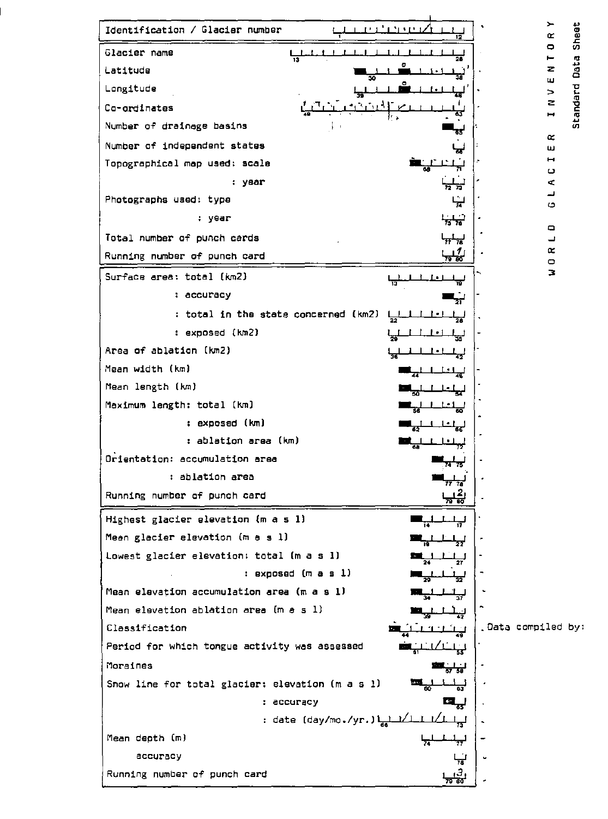Identification / Glacier number<br>
Glacier name Glacier name , , , , , , , , , , , , , , , , , Glacier name<br>
Latitude  $\frac{1}{13}$ <br>
Latitude  $\frac{1}{30}$ <br>
Langitude  $\frac{1}{30}$ <br>
Langitude  $\frac{1}{30}$ <br>
Langitude  $\frac{1}{30}$ <br>
Langitude  $\frac{1}{30}$ '" " Longitude <sup>0</sup> " , , , , • , I· 1 , , ,. <sup>41</sup> 1<sub>33</sub> - سلسلة ا<sub>وق</sub>اء السلطة المسلمة المسلمة التي تعدد المسلمة التي تعدد التي تعدد التي تعدد التي تعدد التي تعدد<br>التي التي تعدد التي تعدد التي تعدد التي تعدد التي تعدد التي تعدد التي تعدد التي تعدد التي تعدد التي تعدد الت Number of drainage basins Number of independent states "' Topographical map used: scale **...**   $\begin{array}{c|c|c|c|c} \hline \mathbf{G} & \mathbf{H} & \mathbf{H} & \mathbf{H} & \mathbf{H} & \mathbf{H} & \mathbf{H} & \mathbf{H} & \mathbf{H} & \mathbf{H} & \mathbf{H} & \mathbf{H} & \mathbf{H} & \mathbf{H} & \mathbf{H} & \mathbf{H} & \mathbf{H} & \mathbf{H} & \mathbf{H} & \mathbf{H} & \mathbf{H} & \mathbf{H} & \mathbf{H} & \mathbf{H} & \mathbf{H} & \mathbf{H} & \mathbf{H} & \mathbf{H} & \mathbf{H}$ , year  $\frac{1}{2}$  , year  $\frac{1}{2}$  ,  $\frac{1}{2}$  ,  $\frac{1}{2}$  ,  $\frac{1}{2}$  $-$  Photographs used: type  $-$ i.  $\frac{1}{24}$   $\left| \frac{1}{24} \right|$ . , " year ~ · 0 Total number of punch cards  $\begin{array}{ccc} \downarrow & \downarrow & \downarrow \\ \downarrow & \downarrow & \downarrow \end{array}$ Running number of punch card Surface area: total (km2) , , , , [ . [ , , , " " " , accuracy .." - , total in the state concerned (km2) , , , , I-I , , ~ ,. · , exposed (km2) , , , , [ -I , , - Area of ablation (km2) ,  $\frac{1}{2}$  ,  $\frac{1}{2}$  ,  $\frac{1}{2}$  ,  $\frac{1}{2}$  ,  $\frac{1}{2}$  $36$   $42$ Area of ablation (km2)<br>Mean width (km)  $\frac{1}{36}$ <br>Mean length (km)  $\frac{1}{36}$ <br>Mean length (km)  $\frac{1}{36}$ <br>I  $\frac{1}{36}$ Mean length (km)<br>Maximum length: total (km) ┸╌╀╼╧╧┹┓<br><u>┇╷╶┠┈╊╺╷┠</u> ليلعلىلين , · Mean length (km)<br>Mean length: total (km) Maximum length: total (km)  $\begin{bmatrix} \frac{1}{36} & \frac{1}{36} & \frac{1}{36} & \frac{1}{36} \\ \frac{1}{36} & \frac{1}{36} & \frac{1}{36} & \frac{1}{36} \\ \frac{1}{36} & \frac{1}{36} & \frac{1}{36} & \frac{1}{36} \\ \frac{1}{36} & \frac{1}{36} & \frac{1}{36} & \frac{1}{36} \\ \frac$ - , exposed (km) **-**.,  $\perp$   $\perp$ 86 |<br>| נ , - ablation area (km) **-** , , I • I , .. 72 ablation area (km)<br>Orientation: accumulation area<br>blation area<br>**•** ablation area , ablation area **-**, 17 18 ,<br>,<br>, , Running number of punch card Highest glacier elevation (m a 5 1) -, , , , .. " Mean glacier elevation (m a • 1) **-**, , " ا<del>لى اخت</del>اب ا 22 ,<br>|<br>| I Mean glacier elevation (m a s l)<br>Lowest glacier elevation: total (m a s l)<br>... ,... ; exposed (m a s l)<br>Mean elevation accumulation area (m a s l)<br>Mean elevation ablation area (m a s l) " n Mean elevation accumulation area (m a • 1) -, , , , <sup>~</sup>" Mean elevation ablation area (m a 5 1) -, , l , " " , . . . Classification -, , '[ "I , , .. .. . Data compiled by: Classification<br>Period for which tongue activity was assessed " I L.l' I <del>...</del><br>55 . Moraines . The set of  $\frac{1}{57}, \frac{1}{58}$ Snow line for total glacier: elevation (m a s l)<br>Snow line for total glacier: elevation (m a s l)<br>cocuracy : accuracy . , accuracy Q,.J , date (day/mo .Iyr. ) lee1 '/1 , Ilr , I 73 Mean depth (m) , , , , , " " accuracy Running number of punch card <u>ਤ</u>

 $\bullet$ 

 $\varepsilon$ 

u

 $\bullet$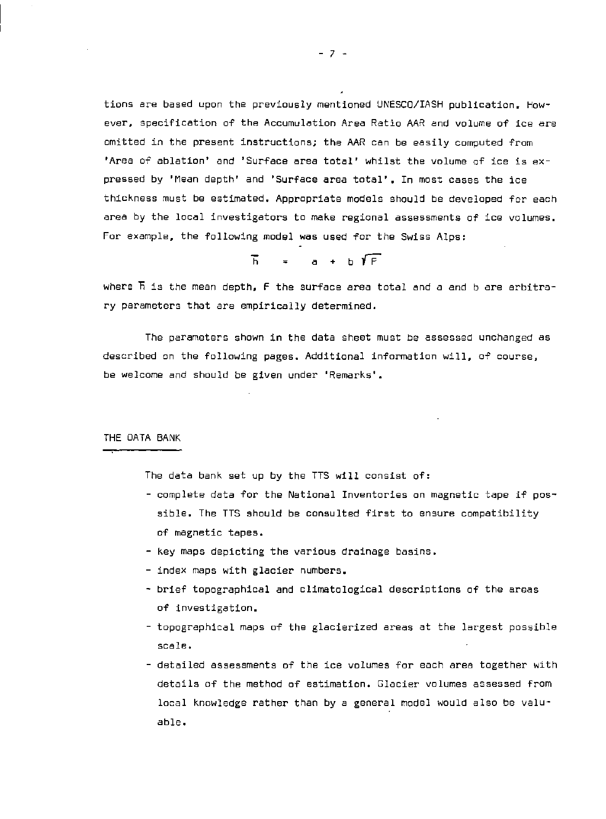tions are based upon the previously mentioned UNESCO/IASH publication. However, specification of the Accumulation Area Ratio AAR and *volume* of ice are omitted in the present instructions; the AAR can be easily computed from 'Area of ablation' and 'Surface area total' whilst the volume of ice is expressed by 'Mean depth' and 'Surface area total'. In most cases the ice thickness must be estimated. Appropriate models should be developed for each area by the local investigators to make regional assessments of ice volumes. For example. the following model was used for the Swiss Alps:

 $\overline{h}$  =  $a + b \sqrt{f}$ 

where  $\overline{h}$  is the mean depth,  $\overline{f}$  the surface area total and a and b are arbitrary parameters that are empirically determined.

The parameters shown in the data sheet must be assessed unchanged as described on the following pages. Additional information will. of course. be welcome and should be given under 'Remarks',

THE DATA BANK

The data bank set up by the TTS *will* consist of:

- complete data for the National Inventories on magnetic tape if possible. The TTS should be consulted first to ensure compatibility of magnetic tapes.
- key maps depicting the various drainage basins.
- index maps with glacier numbers.
- brief topographical and climatological descriptions of the areas of investigation.
- topographical maps of the glacierized areas at the largest possible scale.
- detailed assessments of the ice volumes for each area together with details of the method of estimation. Glacier volumes assessed from local knowledge rather than by a general model would also be valuable.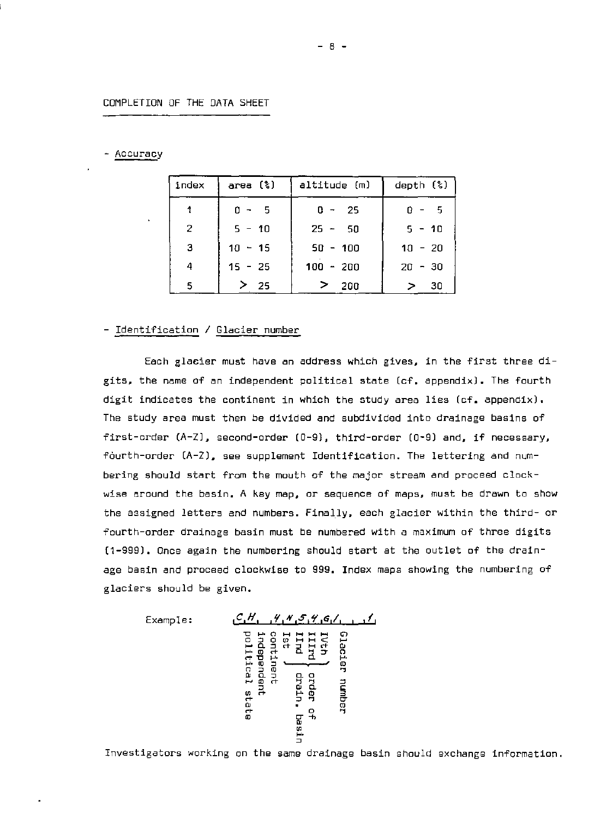### COMPLETION OF THE DATA SHEET

#### - Accuracy

| index | area (%)  | altitude (m)    | depth $(*)$ |
|-------|-----------|-----------------|-------------|
|       | $0 - 5$   | $0 - 25$        | $0 - 5$     |
| 2     | $5 - 10$  | $25 - 50$       | $5 - 10$    |
| 3     | $10 - 15$ | $50 - 100$      | $10 - 20$   |
| 4     | $15 - 25$ | $100 - 200$     | $20 - 30$   |
| 5.    | > 25      | $\geq$<br>- 200 | - 30<br>> ∶ |

## - Identification / Glacier number

Each glacier must have an address which gives. in the first three digits. the name of an independent political state Ccf. appendix). The fourth digit indicates the continent in which the study area lies (cf. appendix). The study area must then be divided and subdivided into drainage basins of first-order  $(A-Z)$ , second-order  $(0-9)$ , third-order  $(0-9)$  and, if necessary, fourth-order (A-Z). see supplement Identification. The lettering and numbering should start fram the mouth of the major stream and proceed clockwise around the basin. A key map. or sequence of maps. must be drawn to show the assigned letters and numbers. Finally, each glacier within the third- or fourth-order drainage basin must be numbered with a maximum of three digits (1-999). Once again the numbering should start at the outlet of the drainage basin and proceed clockwise to 999. Index maps showing the numbering of glaciers should be given.

Example: le.H. .f."'.SI'Y.G/. III "0 "" n H H H H " 0 0 0 W HH < H HO. 0 rr il.:;' rr 0 "" ro rr 0- <sup>n</sup>rr"O "" 0. "" ro "" 0 , m <sup>n</sup>0 ro " 0 0. 0 0. 0 H m rr " " <sup>0</sup> 0 0 0. C W rr "" ro 3 rr 0 " co ro rr 0 m " 0- .., 0 W 0 ""

Investigators working on the same drainage basin should exchange information.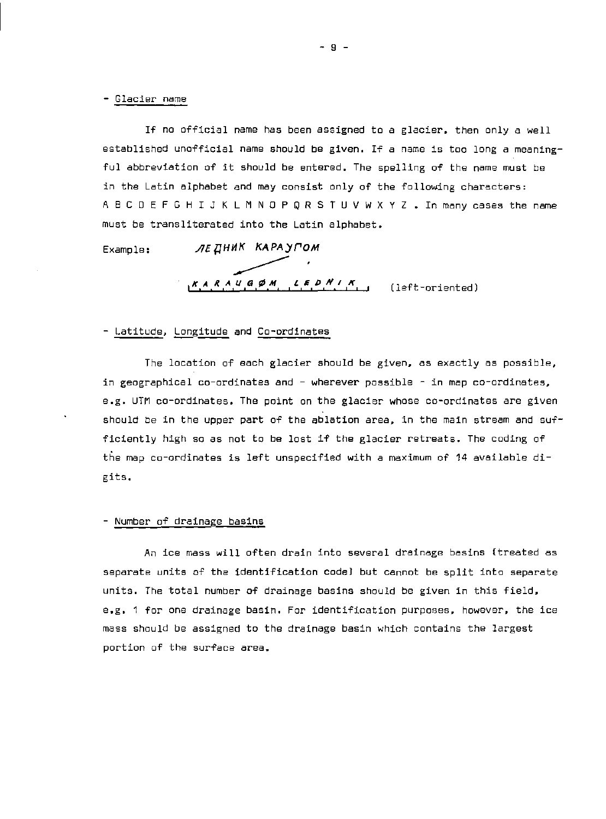#### - Glacier name

If no official name has been assigned to a glacier, then only a well established unofficial name should be given. If a name is too long a meaningful abbreviation of it should be entered. The spelling of the name must be in the Latin alphabet and may consist only of the following characters: A B C D E F G H I J K L M N O P Q R S T U V W X Y Z . In many cases the name must be transliterated into the Latin alphabet.

Example: ЛЕДНИК КАРАУГОМ  $AE$ <sup>HHK</sup> KAPA)<br>KARAUGØM *KARAUGOM LEDNIK* (left-oriented)

### - Latitude. Longitude and Co-ordinates

The location of each glacier should be given, as exactly as possible, in geographical co-ordinates and - wherever possible - in map co-ordinates. e.g. UTM co-ordinates. The point on the glacier whose co-ordinates are given should be in the upper part of the ablation area, in the main stream and sufficiently high so as not to be lost if the glacier retreats. The coding of the map co-ordinates is left unspecified with a maximum of 14 available digits.

#### - Number of drainage basins

An ice mass will often drain into several drainage basins (treated as separate units of the identification code) but cannot be split into separate units. The total number of drainage basins should be given in this field. e.g. 1 for one drainage basin. For identification purposes, however. the ice mass should be assigned to the drainage basin which contains the largest portion of the surface area.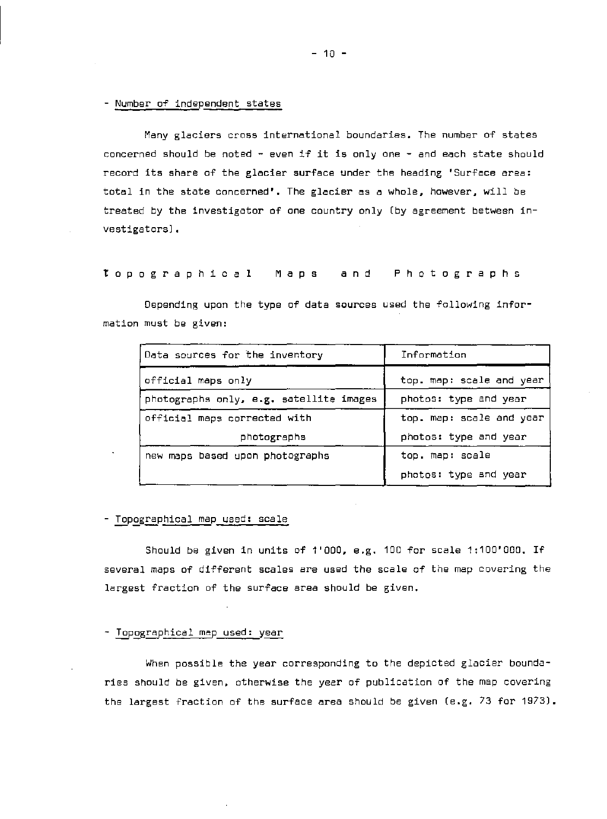#### - Number of independent states

Many glaciers cross international boundaries. The number of states concerned should be noted - even if it is only one - and each state should record its share of the glacier surface under the heading 'Surface area: total in the state concerned', The glacier as a whole, however. will be treated by the investigator of one country only (by agreement between investigators) .

top 0 g rap hie a 1 M a p s and P hot 0 g rap h 5

Depending upon the type of data sources used the following information must be given:

| Data sources for the inventory          | Information              |
|-----------------------------------------|--------------------------|
| official maps only                      | top. map: scale and year |
| photographs only, e.g. satellite images | photos: type and year    |
| official maps corrected with            | top. map: scale and year |
| photographs                             | photos: type and year    |
| new maps based upon photographs         | top. map: scale          |
|                                         | photos: type and year    |

#### - Topographical map used: scale

Should be given in units of 1'000, e.g. 100 for scale  $1:100'000$ . If several maps of different scales are used the scale of the map covering the largest fraction of the surface area should be given.

#### - Topographical map used: year

When possible the year corresponding to the depicted glacier boundaries should be given, otherwise the year of publication of the map covering the largest fraction of the surface area should be given (e.g. 73 for 1973).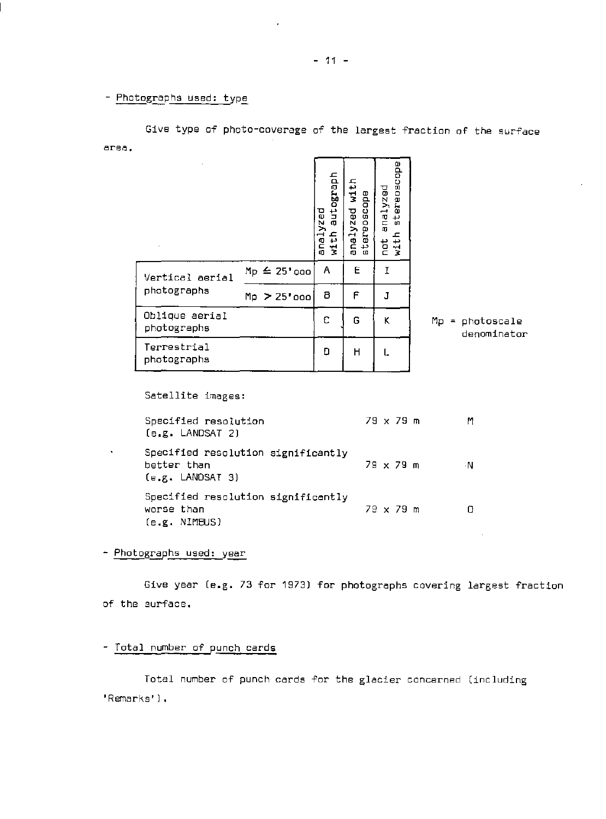- Photographs used: type

| $\cdot$                        |                   | deragoine<br>analyzed<br>with | with<br>tereoscape<br>zed<br>ana1y<br>U. | edo<br>erepsc<br>analyzed<br>흉<br>with<br>hot |                                  |
|--------------------------------|-------------------|-------------------------------|------------------------------------------|-----------------------------------------------|----------------------------------|
| Vertical aerial<br>photographs | $Mp \leq 25'$ ogo | Α                             | E                                        | T                                             |                                  |
|                                | $Mp$ > 25'000     | 8                             | F                                        | J                                             |                                  |
| Oblique aerial<br>photographs  |                   | C                             | G                                        | K                                             | $Mp = photoscale$<br>denominator |
| Terrestrial<br>photographs     |                   | D                             | H                                        |                                               |                                  |

Give type of photo-coverage of the largest fraction of the surface area.

Satellite images:

| Specified resolution<br>[e.g. LANDSAT 2]                                | 79 x 79 m | M  |
|-------------------------------------------------------------------------|-----------|----|
| Specified resolution significantly<br>better than<br>$(e.g.$ LANDSAT 3) | 79 x 79 m | ۰N |
| Specified resolution significantly<br>worse than<br>(e.g. NIMBUS)       | 79 x 79 m |    |

- Photographs used: year

 $\mathbf{v} = \mathbf{v}$ 

Give year (e.g. 73 for 1973) for photographs covering largest fraction of the surface.

 $\sim 10^7$ 

Total number of punch cards

Total number of punch cards for the glacier concerned (including 'Remarks').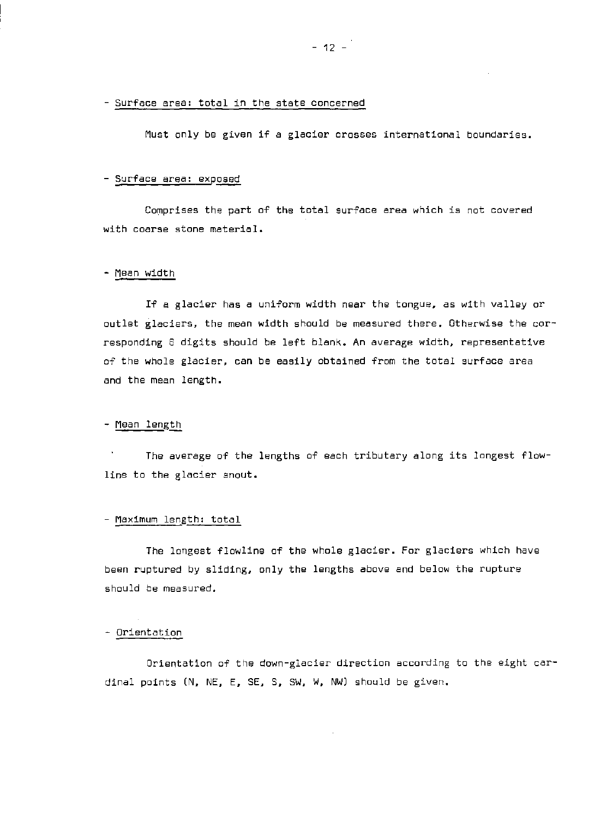- Surface area: total in the state concerned

Must only be given if a glacier crasses international boundaries.

#### $-$  Surface area: exposed

Comprises the part of the total surface area which is not covered with coarse stone material.

#### - Mean width

If a glacier has a uniform width near the tongue, as with valley or outlet glaciers. the mean width should be measured there. Otherwise the corresponding 6 digits should be left blank. An average width. representative of the whole glacier. can be easily obtained from the total surface area and the mean length.

## - Mean length

The average of the lengths of each tributary along its longest flowline to the glacier snout.

#### - Maximum length: total

The longest flowline of the whole glacier. For glaciers which have been ruptured by sliding, only the lengths above and below the rupture should be measured.

#### - Orientation

Orientation of the down-glacier direction according to the eight cardinal points (N. NE. E. SE. S. SW. w. NW) should be given.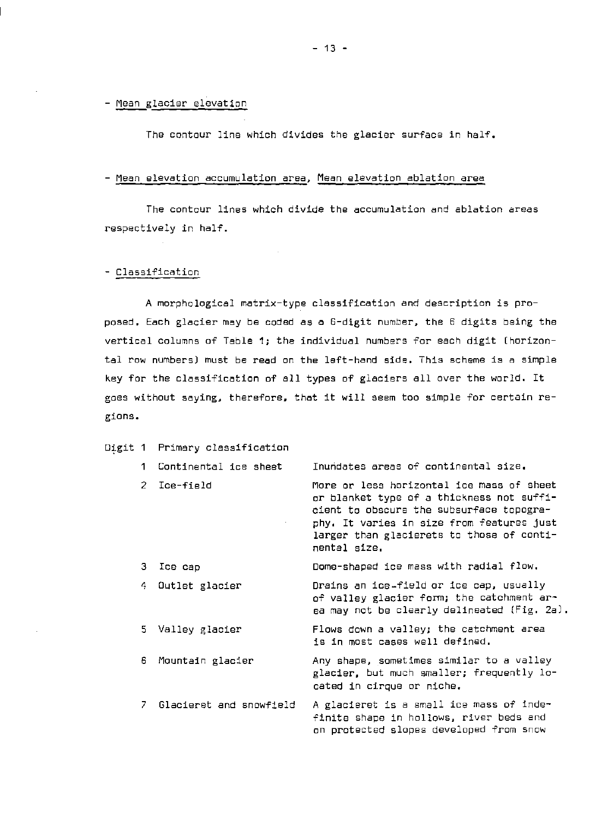- Mean glacier elevation

The contour line which divides the glacier surface in *half.* 

#### - Mean elevation accumulation area, Mean elevation ablation area

The contour lines which divide the accumulation and ablation areas respectively in half.

#### - Classification

A morphological matrix-type classification and description is proposed. Each glacier may be coded as a 6-digit number, the 6 digits being the vertical columns of *Table* 1; the individual numbers for each digit (horizontal row numbers) must be read on the left-hand side. This scheme is a simple key for the classification of all types of glaciers all over the world. It goes without saying, therefore, that it will seem too simple for certain regions.

#### Digit 1 Primary classification

5 *Valley* glacier

| 1 Continental ice sheet | Inundates areas of continental size.                                                                                                                                                                                                         |
|-------------------------|----------------------------------------------------------------------------------------------------------------------------------------------------------------------------------------------------------------------------------------------|
| 2 Ice-field             | More or less horizontal ice mass of sheet<br>or blanket type of a thickness not suffi-<br>cient to obscure the subsurface topogra-<br>phy. It varies in size from features just<br>larger than glacierets to those of conti-<br>nental size. |
| з.<br>Ice cap           | Dome-shaped ice mass with radial flow.                                                                                                                                                                                                       |
| Outlet glacier<br>4.    | Drains an ice-field or ice cap, usually<br>of valley glacier form; the catchment ar-<br>ea may not be clearly delineated (fig. 2a).                                                                                                          |
|                         |                                                                                                                                                                                                                                              |

Flows down a valley; the catchment area is in most cases well defined.

6 Mountain glacier Any shape. sometimes similar to a valley glaCier. but much smaller; frequently located in cirque or niche.

7 Glacieret and snowfield A glacieret is a small ice mass of indefinite shape in hollows. river beds and on protected slopes developed from snow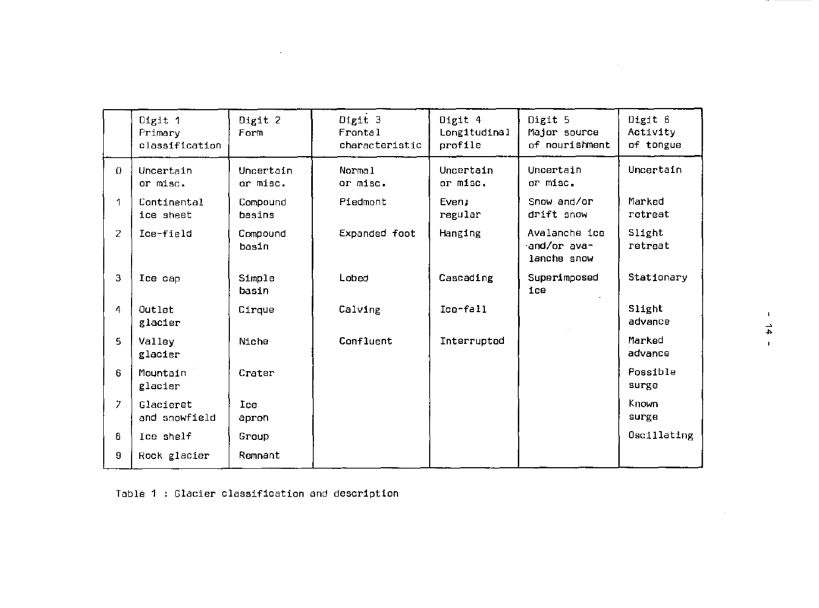|                | Digit 1<br>Primary<br>classification | Digit 2<br>Form       | Digit 3<br>Frontal<br>characteristic | Digit 4<br>Longitudinal<br>profile | Digit 5<br>Major source<br>of nourishment   | Digit 6<br>Activity<br>of tongue |  |
|----------------|--------------------------------------|-----------------------|--------------------------------------|------------------------------------|---------------------------------------------|----------------------------------|--|
| $\mathbf{0}$   | Uncertain<br>or misc.                | Uncertain<br>or misc. | Normal<br>or misc.                   | Uncertain<br>or misc.              | Uncertain<br>or misc.                       | Uncertain                        |  |
| 1              | Continental<br>ice sheet             | Compound<br>hasins    | Piedmont                             | Even;<br>regular                   | Snow and/or<br>drift snow                   | Marked<br>retreat                |  |
| $\overline{2}$ | Ice-field                            | Compound<br>basin     | Expanded foot                        | Hanging                            | Avalanche ice<br>and/or ava-<br>lanche snow | Slight<br>retreat                |  |
| 3              | Ice cap                              | Simple<br>basin       | Lobed                                | Cascading                          | Superimposed<br>ice                         | Stationary                       |  |
| 4              | Outlet<br>glacier                    | Cirque                | Calving                              | Ice-fall                           |                                             | Slight<br>advance                |  |
| 5.             | Valley<br>glacier                    | Niche                 | Confluent                            | Interrupted                        |                                             | Marked<br>advance                |  |
| 6              | Mountain<br>glacier                  | Crater                |                                      |                                    |                                             | Possible<br>surge                |  |
| $\overline{7}$ | Glacieret<br>and snowfield           | Ice<br>apron          |                                      |                                    |                                             | Known<br>surge                   |  |
| 8              | Ice shelf                            | Group                 |                                      |                                    |                                             | Oscillating                      |  |
| 9              | Rock glacier                         | Remnant               |                                      |                                    |                                             |                                  |  |

Table 1 Glacier classification and description

 $\sim$ 

 $\mathcal{L}$ 

 $\sim 10^{-1}$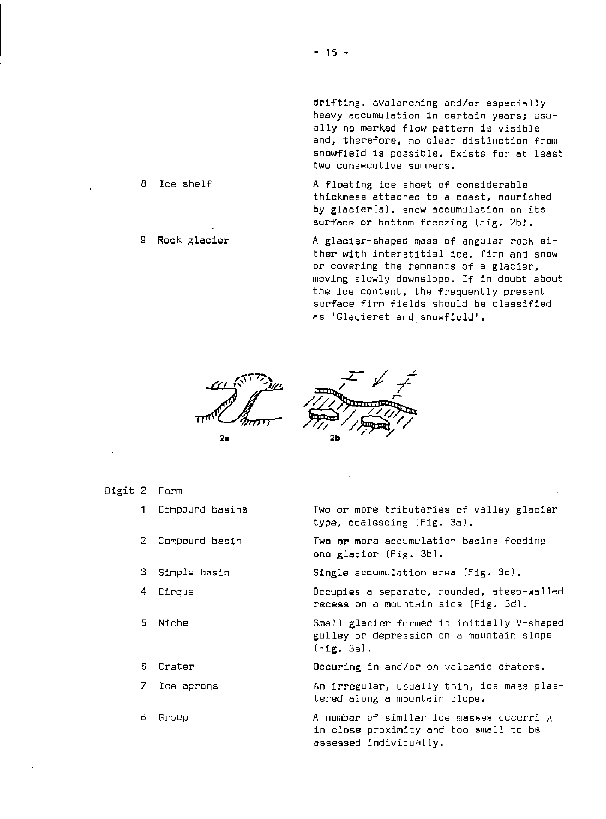drifting. avalanching and/or especially heavy accumulation in certain years; GSUally no marked flow pattern is visible and. therefore. no clear distinction from snowfield is possible. Exists for at least two consecutive summers.

A floating ice sheet of considerable thickness attached to a coast. nourished by glacier(s). snow accumulation on its surface or bottom freezing (Fig. 2bl.

> A glacier-shaped mass of angular rock either with interstitial ice. firn and snow or covering the remnants of a glacier. moving slowly downslope. If in doubt about the ice content. the frequently present surface firn fields should be classified as 'Glacieret and snowfield'.



9Ь

- Digit 2 Form
	- 1 Compound basins

8 Ice shelf

9 Rock glacier

- 2 Compound basin
- 3 Simple basin
- 4 Cirque
- 5 Niche
- 6 Crater
- 7 Ice aprons
- 8 Group

Two or more tributaries of valley glacier type. coalescing (Fig. 3a).

Two or more accumulation basins feeding one glacier (Fig. 3b).

Single accumulation area (Fig. 3c).

Occupies a separate. rounded. steep-walled recess on a mountain side (Fig. 3d).

Small glacier formed in initially V-shaped gUlley or depression on a mountain slope (Fig. 3e].

Dccuring in and/or on volcanic craters.

An irregular. usually thin. ice mass plastered along a mountain slope.

A number of similar ice masses occurring in close proximity and too small to be assessed individually.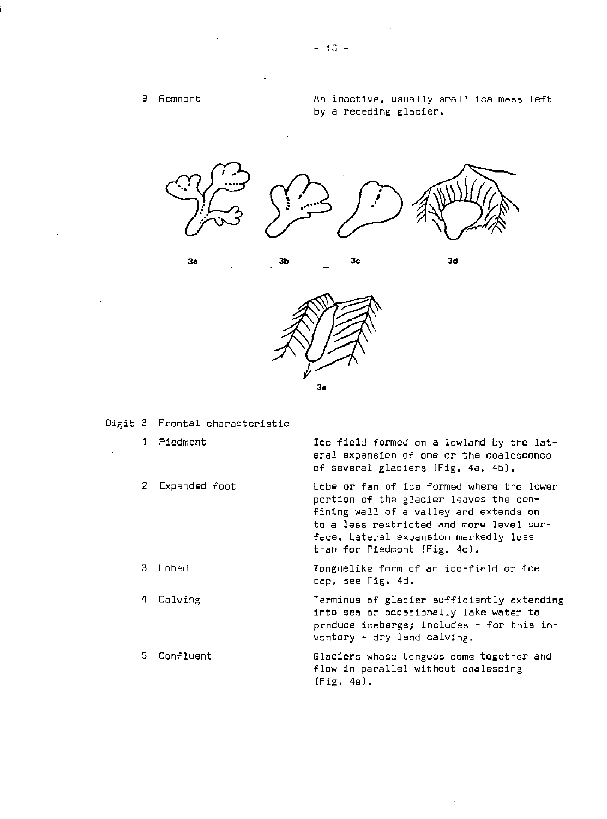



Digit 3 Frontal characteristic

1 Piedmont Ice field formed on a lowland by the lateral expansion of one or the coalescence of several glaciers (Fig. 4a, 4b). 2 Expanded foot Lobe or fan of ice formed where the *lower*  portion of the glacier leaves the confining wall of a valley and extends on  $\bar{z}$ to a less restricted and more level surface. Lateral expansion markedly less than for Piedmont (Fig. 4c). 3 Lobed Tonguelike form of an ice-field or ice cap, see Fig. 4d. Terminus of glacier sufficiently extending 4 Calving into sea or occasionally lake water to produce icebergs; includes - for this inventory - dry land calving. 5 Confluent Glaciers whose tongues come together and flow in parallel without coalescing (Fig.4e).

 $\sim$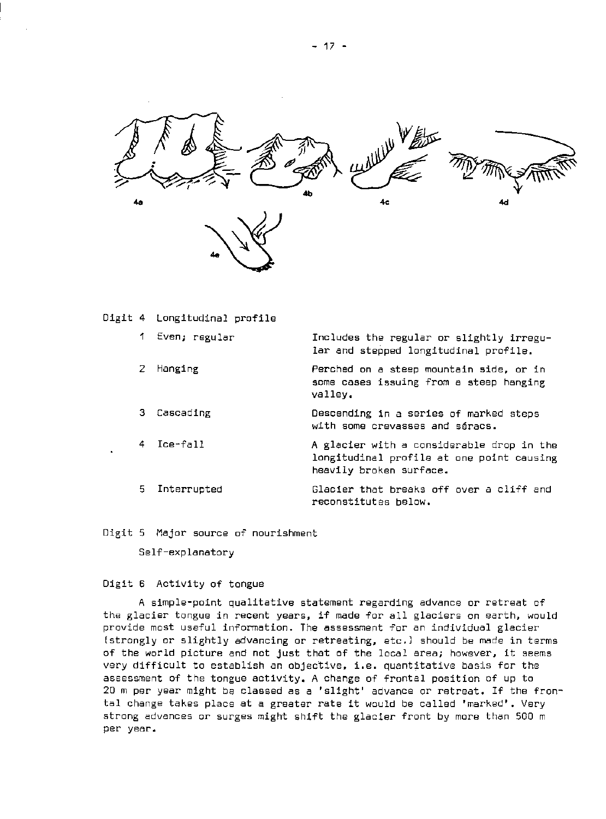

Digit 4 Longitudinal profile

|    | 1 Even; regular | Includes the regular or slightly irregu-<br>lar and stepped longitudinal profile.                                 |
|----|-----------------|-------------------------------------------------------------------------------------------------------------------|
| 2  | Hanging         | Perched on a steep mountain side, or in<br>some cases issuing from a steep hanging<br>valley.                     |
| З. | Cascading       | Descending in a series of marked steps<br>with some crevasses and séracs.                                         |
|    | 4 Ice-fall      | A glacier with a considerable drop in the<br>longitudinal profile at one point causing<br>heavily broken surface. |
| 5. | Interrupted     | Glacier that breaks off over a cliff and<br>reconstitutes below.                                                  |

Digit 5 Major source of nourishment

Self-explanatory

## Digit 6 Activity of tongue

A simple-point qualitative statement regarding advance or retreat of the glacier tongue in recent years, if made for all glaciers on earth, would provide most useful information. The assessment for an individual glacier (strongly or slightly advancing or retreating. etc.) should be made in terms of the world picture and not just that of the local area; however. it seems very difficult to establish an objective. i.e. quantitative basis for the assessment of the tongue activity. A change of frontal position of up to 20 m per year might be classed as a 'slight' advance or retreat. If the frontal change takes place at a greater rate it would be called 'marked'. Very strong advances or surges might shift the glacier front by more than 500 m per year.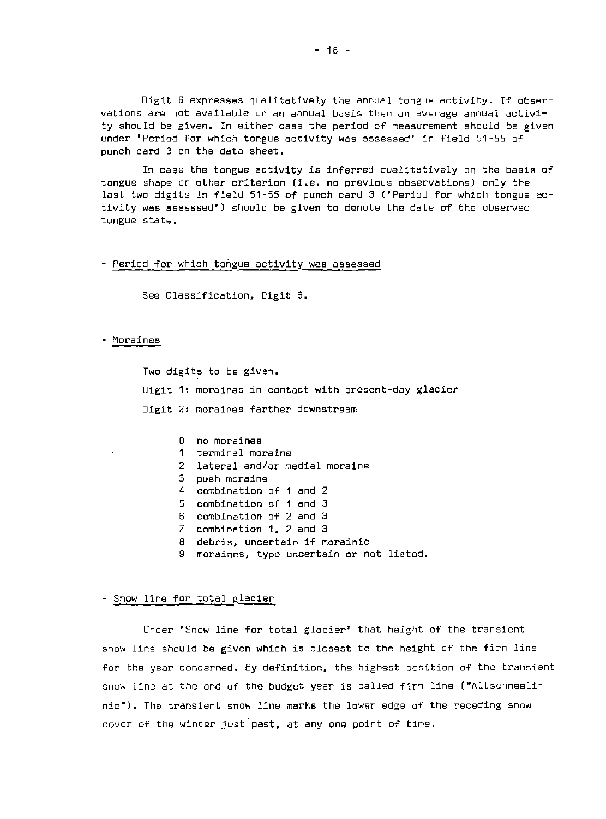Digit 6 expresses qualitatively the annual tongue activity. If observations are not available on an annual basis then an average annual activity should be given. In either case the period of measurement should be given under 'Period for which tongue activity was assessed' in field 51-55 of punch card 3 on the data sheet.

In case the tongue activity is inferred qualitatively on the basis of tongue shape or other criterion (i.e. no previous observations) only the last two digits in field 51-55 of punch card 3 ('Period for which tongue activity was assessed') should be given to denote the date of the observed tongue state.

#### - Period for which tongue activity was assessed

See Classification, Digit 6.

#### - Moraines

Two digits to be given. Digit 1: moraines in contact with present-day glacier Digit 2: moraines farther downstream

> o no moraines 1 terminal moraine 2 lateral and/or medial moraine 3 push moraine 4 combination of 1 and 2 5 combination of 1 and 3 6 combination of 2 and 3 7 combination 1, 2 and 3 8 debris. uncertain if morainic 9 moraines. type uncertain or not listed.

#### - Snow line for total glacier

Under 'Snow line for total glacier' that height of the transient snow line should be given which is closest to the height Qf the firn line for the year concerned. By definition, the highest position of the transient snow line at the end of the budget year is called firn line ("Altschneelinie"). The transient snow line marks the lower edge of the receding snow cover of the winter just past. at anyone point of time.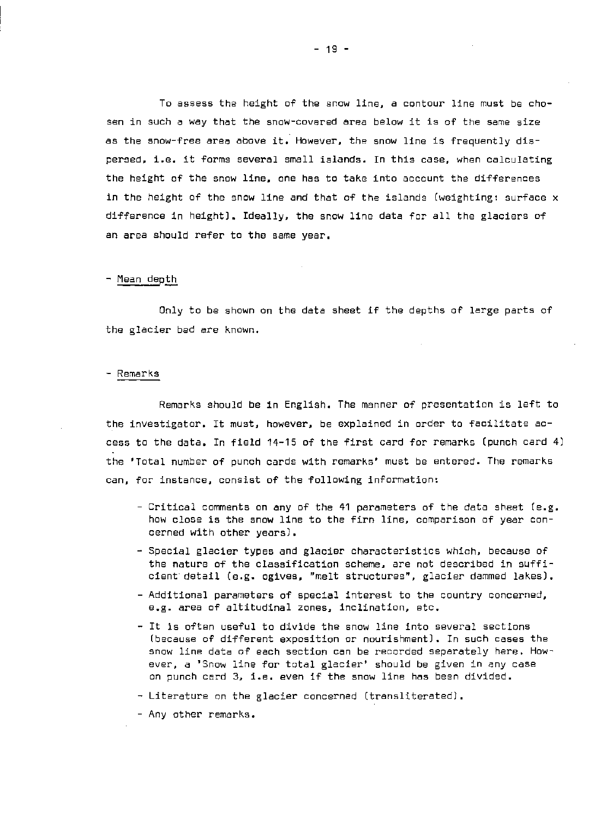To assess the height of the snow line. a contour line must be chosen in such a way that the snow-covered area below it is of the same size as the snow-free area above it. However. the snow line is frequently dispersed. i.8. it forms several small islands. In this case. when calculating the height of the snow line. one has to take into account the differences in the height of the snow line and that of the islands (weighting: surface x difference in height). Ideally. the snow line data for all the glaciers of an area should refer to the same year.

#### - Mean depth

Only to be shown an the data sheet if the depths af large parts af the glacier bed are known.

#### - Remarks

Remarks should be in English. The manner of presentation is left to the investigator. It must. however. be explained in order to facilitate access to the data. In field 14-15 of the first card for remarks (punch card 4) the 'Total number of punch cards with remarks' must be entered. The remarks can, for instance, consist of the following information:

- Critical comments on any of the 41 parameters of the data sheet (e.g. how close is the snow line to the firn line. comparison of year concerned with other years).
- Special glaCier types and glacier characteristics which. because of the nature of the classification scheme, are not described in sufficient detail (e.g. ogives, "melt structures". glacier dammed lakes).
- Additional parameters of special interest to the country concerned. e.g. area of altitudinal zones. inclination. etc.
- It is often useful to divide the snow line into several sections (because of different exposition or nourishment). In such cases the snow line data of each section can be recorded separately here. However. a 'Snow line for total glacier' should be given in any case on punch card 3. i.e. even if the snow line has been divided.
- Literature on the glacier concerned (transliterated),
- Any other remarks.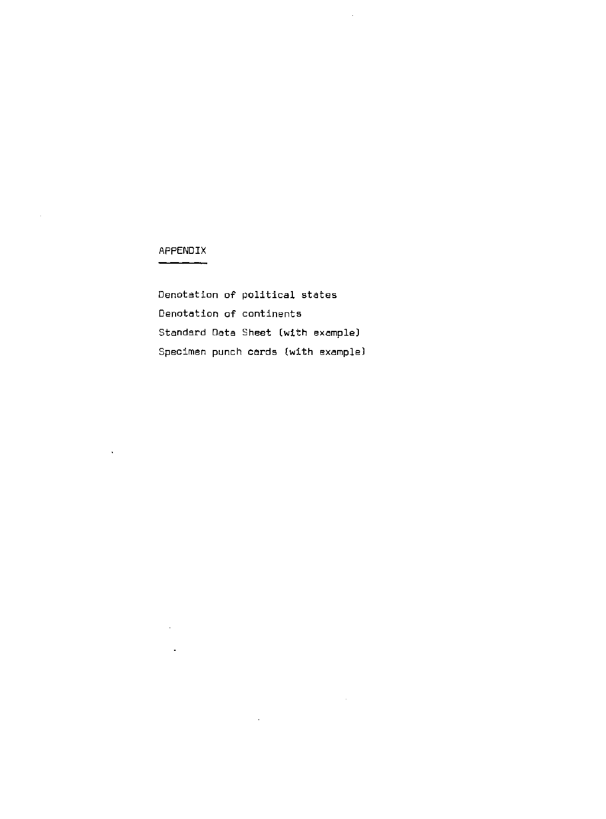# APPENDIX

 $\bar{\mathcal{A}}$ 

 $\sim 10^{-1}$ 

 $\hat{\mathbf{v}}$ 

 $\overline{\phantom{a}}$ 

 $\sim 10^7$ 

Denotation of political states Denotation of continents Standard Data Sheet (with example) Specimen punch cards (with example)

 $\sim$   $\alpha$ 

 $\bar{\mathcal{A}}$ 

 $\sim 10^{11}$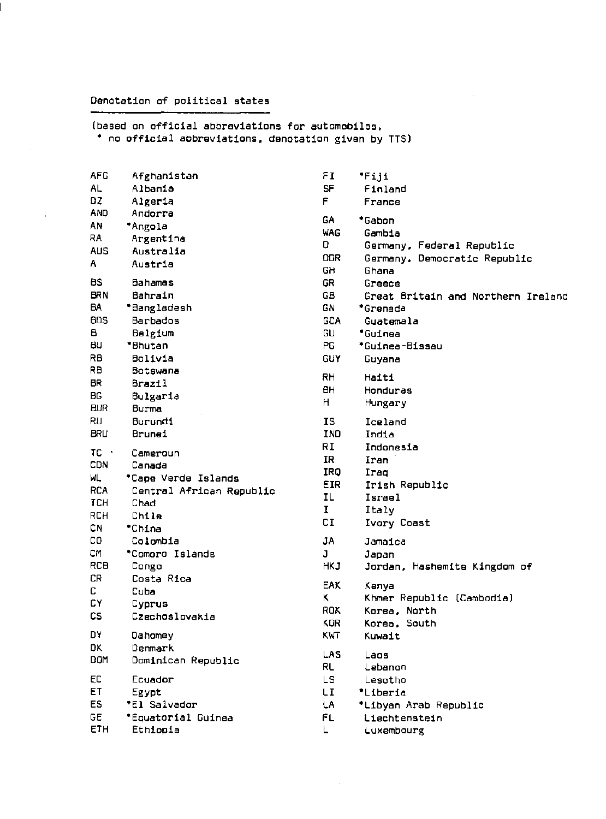## Denotation of political states

 $\sim 10^7$ 

(based on official abbreviations for automobiles, \* no official abbreviations, denotation given by TTS)

| <b>AFG</b>   | Afghanistan              | FI         | F111                               |
|--------------|--------------------------|------------|------------------------------------|
| AL.          | Albania                  | <b>SF</b>  | Finland                            |
| DZ.          | Algeria                  | F.         | France                             |
| <b>AND</b>   | Andorra                  |            |                                    |
| AN           | *Angola                  | <b>GA</b>  | *Gabon                             |
| RA           | Argentina                | <b>WAG</b> | Gambia                             |
| <b>AUS</b>   | Australia                | O.         | Germany, Federal Republic          |
| Α            | Austria                  | <b>DDR</b> | Germany, Democratic Republic       |
|              |                          | GH         | Ghana                              |
| BS.          | Bahamas                  | GR         | Greece                             |
| <b>BRN</b>   | Bahrain                  | GB         | Great Britain and Northern Ireland |
| BA           | *Bangladesh              | GN         | *Grenada                           |
| <b>BDS</b>   | Barbados                 | <b>GCA</b> | Guatemala                          |
| в            | Belgium                  | GU         | *Guinea                            |
| BU           | *Bhutan                  | PG.        | *Guinea-Bissau                     |
| RB           | Bolivia                  | <b>GUY</b> | Guyana                             |
| RB           | Botswana                 | <b>RH</b>  | Haiti                              |
| <b>BR</b>    | Brazil                   | BН         | Honduras                           |
| <b>BG</b>    | Bulgaria                 | н          | Hungary                            |
| <b>BUR</b>   | Burma                    |            |                                    |
| RU           | Burundi                  | <b>IS</b>  | Iceland                            |
| <b>BRU</b>   | Brunei                   | IND        | India                              |
| $TC$ $\cdot$ |                          | RI         | Indonesia                          |
| <b>CDN</b>   | Cameroun<br>Canada       | IR.        | Iran                               |
|              |                          | IRQ        | Iraq                               |
| WL           | *Cape Verde Islands      | <b>EIR</b> | Irish Republic                     |
| <b>RCA</b>   | Central African Republic | IL         | Israel                             |
| <b>TCH</b>   | Chad                     | Ι.         | Italy                              |
| <b>RCH</b>   | Chile                    | CI         | Ivory Coast                        |
| CN           | *China                   |            |                                    |
| CO.          | Colombia                 | JA         | Jamaica                            |
| СM           | *Comoro Islands          | J          | Japan                              |
| <b>RCB</b>   | Congo                    | <b>HKJ</b> | Jordan, Hashemite Kingdom of       |
| CR           | Costa Rica               | <b>EAK</b> | Kenya                              |
| C            | Cuba                     | ĸ          | Khmer Republic (Cambodia)          |
| СY           | Cyprus                   | ROK        | Korea, North                       |
| <b>CS</b>    | Czechoslovakia           | <b>KOR</b> | Korea, South                       |
| D٧           | Dahomey                  | <b>KWT</b> | Kuwait                             |
| DK.          | Denmark                  |            |                                    |
| DOM          | Dominican Republic       | <b>LAS</b> | Laos                               |
|              |                          | <b>RL</b>  | Lebanon                            |
| EC           | Ecuador                  | LS.        | Lesotho                            |
| ET           | Egypt                    | LI.        | *Liberia                           |
| ES.          | *El Salvador             | LA.        | *Libyan Arab Republic              |
| <b>GE</b>    | *Equatorial Guinea       | FL         | Liechtenstein                      |
| ETH          | Ethiopia                 | L.         | Luxembourg                         |
|              |                          |            |                                    |

 $\sim$   $\sim$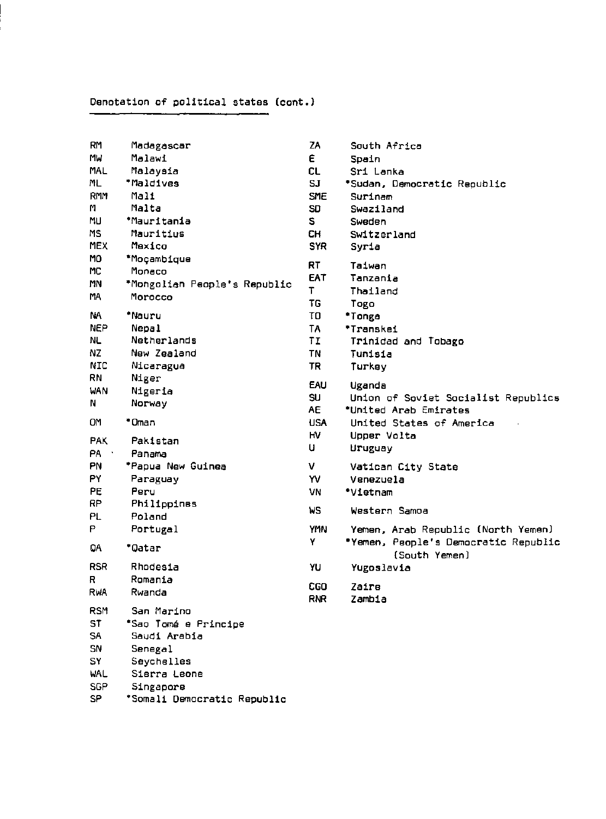# **Denotation of political states (cont.}**

| RM         | Madagascar                   | ΖA           | South Africa                         |
|------------|------------------------------|--------------|--------------------------------------|
| MW         | Malawi                       | E.           | Spain                                |
| <b>MAL</b> | Malaysia                     | <b>CL</b>    | Sri Lanka                            |
| ML         | *Maldives                    | SJ           | *Sudan, Democratic Republic          |
| RMM        | Mali                         | <b>SME</b>   | Surinam                              |
| м          | Malta                        | SD           | Swaziland                            |
| MU         | *Mauritania                  | S.           | Sweden                               |
| MS         | Mauritius                    | CH.          | Switzerland                          |
| <b>MEX</b> | Mexico                       | <b>SYR</b>   | Syria                                |
| MO.        | *Moçambique                  |              |                                      |
| МC         | Monaco                       | RT           | Taiwan                               |
| MN         | *Mongolian People's Republic | <b>EAT</b>   | Tanzania                             |
| MA         | Morocco                      | $\mathsf{T}$ | Thailand                             |
|            |                              | TG           | Togo                                 |
| NA         | *Nauru                       | TO           | *Tonga                               |
| <b>NEP</b> | <b>Nepal</b>                 | TA           | *Transkei                            |
| NL.        | Netherlands                  | TΙ           | Trinidad and Tobago                  |
| NZ.        | New Zealand                  | <b>TN</b>    | Tunisia                              |
| <b>NIC</b> | Nicaragua                    | <b>TR</b>    | Turkey                               |
| RN         | Niger                        |              |                                      |
| WAN        | Nigeria                      | <b>EAU</b>   | Uganda                               |
| N          | Norway                       | SU.          | Union of Soviet Socialist Republics  |
|            |                              | <b>AE</b>    | *United Arab Emirates                |
| <b>OM</b>  | *Oman                        | <b>USA</b>   | United States of America             |
| <b>PAK</b> | Pakistan                     | нv           | Upper Volta                          |
| PA         | Panama                       | u            | Uruguay                              |
| PN         | *Papua New Guinea            | V            | Vatican City State                   |
| PY         | Paraguay                     | YV           | Venezuela                            |
| PE.        | Peru                         | VN           | *Vietnam                             |
| RP         | Philippines                  |              |                                      |
| PL.        | Poland                       | WS           | Western Samoa                        |
| P          | Portugal                     | <b>YMN</b>   | Yemen, Arab Republic (North Yemen)   |
|            |                              | Y            | *Yemen, People's Democratic Republic |
| QA         | *Qatar                       |              | (South Yemen)                        |
| <b>RSR</b> | Rhodesia                     | YU           | Yugoslavia                           |
| К          | Romania                      |              |                                      |
| RWA        | Rwanda                       | <b>CGO</b>   | Zaire                                |
|            |                              | <b>RNR</b>   | Zambia                               |
| <b>RSM</b> | San Marino                   |              |                                      |
| ST         | *Sao Tomá e Principe         |              |                                      |
| SA.        | Saudi Arabia                 |              |                                      |
| SN         | Senegal                      |              |                                      |
| SY         | Seychelles                   |              |                                      |
| WAL        | Sierra Leone                 |              |                                      |
| <b>SGP</b> | Singapore                    |              |                                      |

**SP ·Somali Democratic Republic**